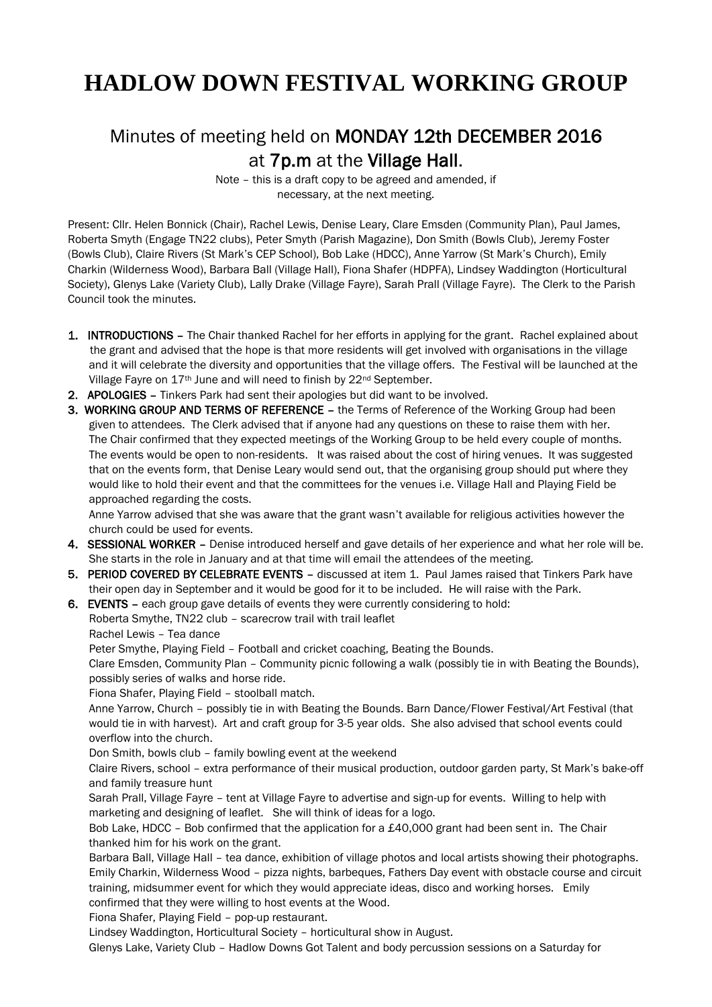## **HADLOW DOWN FESTIVAL WORKING GROUP**

## Minutes of meeting held on MONDAY 12th DECEMBER 2016 at 7p.m at the Village Hall.

Note – this is a draft copy to be agreed and amended, if necessary, at the next meeting.

Present: Cllr. Helen Bonnick (Chair), Rachel Lewis, Denise Leary, Clare Emsden (Community Plan), Paul James, Roberta Smyth (Engage TN22 clubs), Peter Smyth (Parish Magazine), Don Smith (Bowls Club), Jeremy Foster (Bowls Club), Claire Rivers (St Mark's CEP School), Bob Lake (HDCC), Anne Yarrow (St Mark's Church), Emily Charkin (Wilderness Wood), Barbara Ball (Village Hall), Fiona Shafer (HDPFA), Lindsey Waddington (Horticultural Society), Glenys Lake (Variety Club), Lally Drake (Village Fayre), Sarah Prall (Village Fayre). The Clerk to the Parish Council took the minutes.

- 1. INTRODUCTIONS The Chair thanked Rachel for her efforts in applying for the grant. Rachel explained about the grant and advised that the hope is that more residents will get involved with organisations in the village and it will celebrate the diversity and opportunities that the village offers. The Festival will be launched at the Village Fayre on 17<sup>th</sup> June and will need to finish by 22<sup>nd</sup> September.
- 2. APOLOGIES Tinkers Park had sent their apologies but did want to be involved.
- 3. WORKING GROUP AND TERMS OF REFERENCE the Terms of Reference of the Working Group had been given to attendees. The Clerk advised that if anyone had any questions on these to raise them with her. The Chair confirmed that they expected meetings of the Working Group to be held every couple of months. The events would be open to non-residents. It was raised about the cost of hiring venues. It was suggested that on the events form, that Denise Leary would send out, that the organising group should put where they would like to hold their event and that the committees for the venues i.e. Village Hall and Playing Field be approached regarding the costs.

 Anne Yarrow advised that she was aware that the grant wasn't available for religious activities however the church could be used for events.

- 4. SESSIONAL WORKER Denise introduced herself and gave details of her experience and what her role will be. She starts in the role in January and at that time will email the attendees of the meeting.
- 5. PERIOD COVERED BY CELEBRATE EVENTS discussed at item 1. Paul James raised that Tinkers Park have their open day in September and it would be good for it to be included. He will raise with the Park.
- 6. EVENTS each group gave details of events they were currently considering to hold:

 Roberta Smythe, TN22 club – scarecrow trail with trail leaflet Rachel Lewis – Tea dance

Peter Smythe, Playing Field – Football and cricket coaching, Beating the Bounds.

 Clare Emsden, Community Plan – Community picnic following a walk (possibly tie in with Beating the Bounds), possibly series of walks and horse ride.

Fiona Shafer, Playing Field – stoolball match.

 Anne Yarrow, Church – possibly tie in with Beating the Bounds. Barn Dance/Flower Festival/Art Festival (that would tie in with harvest). Art and craft group for 3-5 year olds. She also advised that school events could overflow into the church.

Don Smith, bowls club – family bowling event at the weekend

 Claire Rivers, school – extra performance of their musical production, outdoor garden party, St Mark's bake-off and family treasure hunt

 Sarah Prall, Village Fayre – tent at Village Fayre to advertise and sign-up for events. Willing to help with marketing and designing of leaflet. She will think of ideas for a logo.

 Bob Lake, HDCC – Bob confirmed that the application for a £40,000 grant had been sent in. The Chair thanked him for his work on the grant.

 Barbara Ball, Village Hall – tea dance, exhibition of village photos and local artists showing their photographs. Emily Charkin, Wilderness Wood – pizza nights, barbeques, Fathers Day event with obstacle course and circuit training, midsummer event for which they would appreciate ideas, disco and working horses. Emily confirmed that they were willing to host events at the Wood.

Fiona Shafer, Playing Field – pop-up restaurant.

Lindsey Waddington, Horticultural Society – horticultural show in August.

Glenys Lake, Variety Club – Hadlow Downs Got Talent and body percussion sessions on a Saturday for